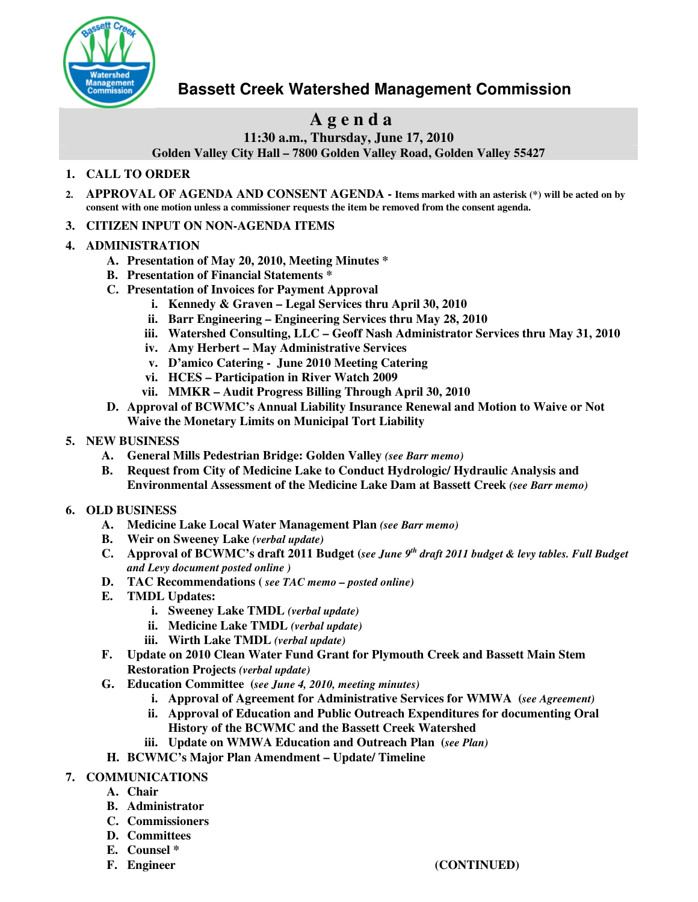

# **Bassett Creek Watershed Management Commission**

# **A g e n d a**

**11:30 a.m., Thursday, June 17, 2010**

**Golden Valley City Hall – 7800 Golden Valley Road, Golden Valley 55427**

#### **1. CALL TO ORDER**

- 2. APPROVAL OF AGENDA AND CONSENT AGENDA Items marked with an asterisk (\*) will be acted on by **consent with one motion unless a commissioner requests the item be removed from the consent agenda.**
- **3. CITIZEN INPUT ON NON-AGENDA ITEMS**

#### **4. ADMINISTRATION**

- **A. Presentation of May 20, 2010, Meeting Minutes \***
- **B. Presentation of Financial Statements \***
- **C. Presentation of Invoices for Payment Approval**
	- **i. Kennedy & Graven – Legal Services thru April 30, 2010**
	- **ii. Barr Engineering – Engineering Services thru May 28, 2010**
	- **iii. Watershed Consulting, LLC – Geoff Nash Administrator Services thru May 31, 2010**
	- **iv. Amy Herbert – May Administrative Services**
	- **v. D'amico Catering - June 2010 Meeting Catering**
	- **vi. HCES – Participation in River Watch 2009**
	- **vii. MMKR – Audit Progress Billing Through April 30, 2010**
- **D. Approval of BCWMC's Annual Liability Insurance Renewal and Motion to Waive or Not Waive the Monetary Limits on Municipal Tort Liability**

#### **5. NEW BUSINESS**

- **A. General Mills Pedestrian Bridge: Golden Valley** *(see Barr memo)*
- **B. Request from City of Medicine Lake to Conduct Hydrologic/ Hydraulic Analysis and Environmental Assessment of the Medicine Lake Dam at Bassett Creek** *(see Barr memo)*
- **6. OLD BUSINESS**
	- **A. Medicine Lake Local Water Management Plan** *(see Barr memo)*
	- **B. Weir on Sweeney Lake** *(verbal update)*
	- C. Approval of BCWMC's draft 2011 Budget (see June 9<sup>th</sup> draft 2011 budget & levy tables. Full Budget *and Levy document posted online )*
	- **D. TAC Recommendations (** *see TAC memo – posted online)*
	- **E. TMDL Updates:**
		- **i. Sweeney Lake TMDL** *(verbal update)*
		- **ii. Medicine Lake TMDL** *(verbal update)*
		- **iii. Wirth Lake TMDL** *(verbal update)*
	- **F. Update on 2010 Clean Water Fund Grant for Plymouth Creek and Bassett Main Stem Restoration Projects** *(verbal update)*
	- **G. Education Committee (***see June 4, 2010, meeting minutes)*
		- **i. Approval of Agreement for Administrative Services for WMWA (***see Agreement)*
		- **ii. Approval of Education and Public Outreach Expenditures for documenting Oral History of the BCWMC and the Bassett Creek Watershed**
		- **iii. Update on WMWA Education and Outreach Plan (***see Plan)*
	- **H. BCWMC's Major Plan Amendment – Update/ Timeline**

### **7. COMMUNICATIONS**

- **A. Chair**
- **B. Administrator**
- **C. Commissioners**
- **D. Committees**
- **E. Counsel \***
- 

### **F. Engineer (CONTINUED)**